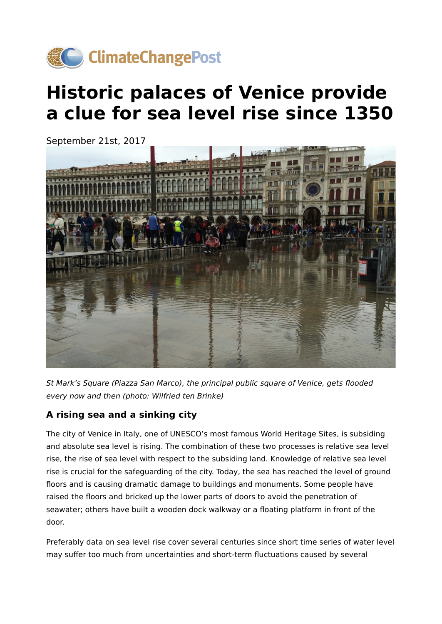

# **Historic palaces of Venice provide a clue for sea level rise since 1350**



St Mark's Square (Piazza San Marco), the principal public square of Venice, gets flooded every now and then (photo: Wilfried ten Brinke)

## **A rising sea and a sinking city**

The city of Venice in Italy, one of UNESCO's most famous World Heritage Sites, is subsiding and absolute sea level is rising. The combination of these two processes is relative sea level rise, the rise of sea level with respect to the subsiding land. Knowledge of relative sea level rise is crucial for the safeguarding of the city. Today, the sea has reached the level of ground floors and is causing dramatic damage to buildings and monuments. Some people have raised the floors and bricked up the lower parts of doors to avoid the penetration of seawater; others have built a wooden dock walkway or a floating platform in front of the door.

Preferably data on sea level rise cover several centuries since short time series of water level may suffer too much from uncertainties and short-term fluctuations caused by several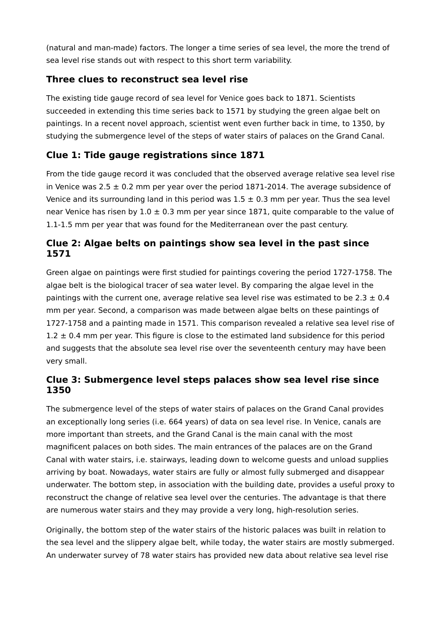(natural and man-made) factors. The longer a time series of sea level, the more the trend of sea level rise stands out with respect to this short term variability.

## **Three clues to reconstruct sea level rise**

The existing tide gauge record of sea level for Venice goes back to 1871. Scientists succeeded in extending this time series back to 1571 by studying the green algae belt on paintings. In a recent novel approach, scientist went even further back in time, to 1350, by studying the submergence level of the steps of water stairs of palaces on the Grand Canal.

## **Clue 1: Tide gauge registrations since 1871**

From the tide gauge record it was concluded that the observed average relative sea level rise in Venice was  $2.5 \pm 0.2$  mm per year over the period 1871-2014. The average subsidence of Venice and its surrounding land in this period was  $1.5 \pm 0.3$  mm per year. Thus the sea level near Venice has risen by  $1.0 \pm 0.3$  mm per year since 1871, quite comparable to the value of 1.1-1.5 mm per year that was found for the Mediterranean over the past century.

#### **Clue 2: Algae belts on paintings show sea level in the past since 1571**

Green algae on paintings were first studied for paintings covering the period 1727-1758. The algae belt is the biological tracer of sea water level. By comparing the algae level in the paintings with the current one, average relative sea level rise was estimated to be 2.3  $\pm$  0.4 mm per year. Second, a comparison was made between algae belts on these paintings of 1727-1758 and a painting made in 1571. This comparison revealed a relative sea level rise of  $1.2 \pm 0.4$  mm per year. This figure is close to the estimated land subsidence for this period and suggests that the absolute sea level rise over the seventeenth century may have been very small.

#### **Clue 3: Submergence level steps palaces show sea level rise since 1350**

The submergence level of the steps of water stairs of palaces on the Grand Canal provides an exceptionally long series (i.e. 664 years) of data on sea level rise. In Venice, canals are more important than streets, and the Grand Canal is the main canal with the most magnificent palaces on both sides. The main entrances of the palaces are on the Grand Canal with water stairs, i.e. stairways, leading down to welcome guests and unload supplies arriving by boat. Nowadays, water stairs are fully or almost fully submerged and disappear underwater. The bottom step, in association with the building date, provides a useful proxy to reconstruct the change of relative sea level over the centuries. The advantage is that there are numerous water stairs and they may provide a very long, high-resolution series.

Originally, the bottom step of the water stairs of the historic palaces was built in relation to the sea level and the slippery algae belt, while today, the water stairs are mostly submerged. An underwater survey of 78 water stairs has provided new data about relative sea level rise